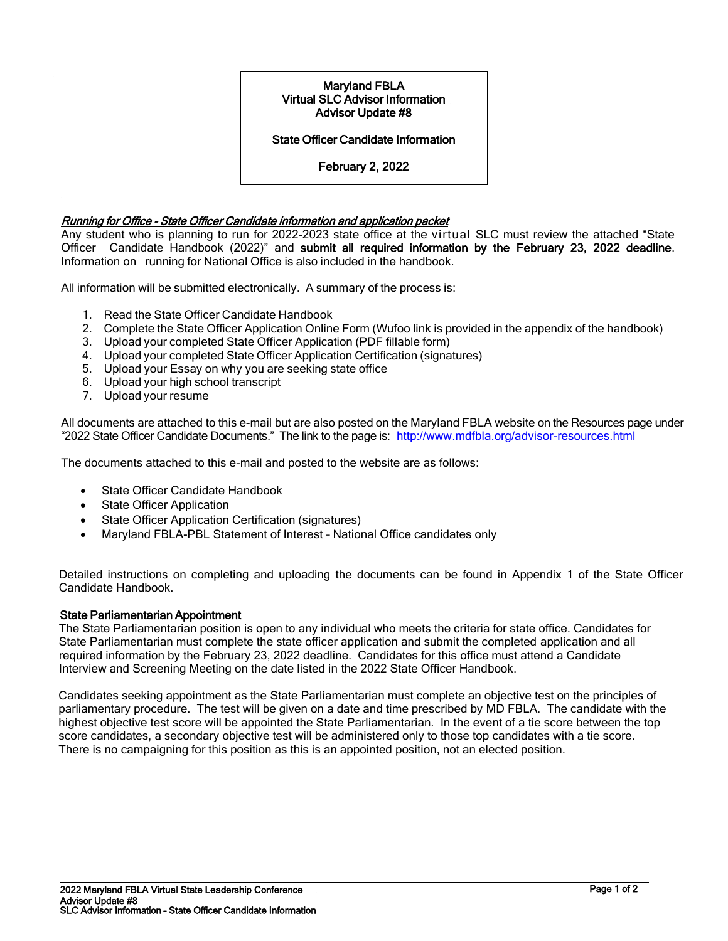## Maryland FBLA Virtual SLC Advisor Information Advisor Update #8

## State Officer Candidate Information

February 2, 2022

## Running for Office - State Officer Candidate information and application packet

Any student who is planning to run for 2022-2023 state office at the virtual SLC must review the attached "State Officer Candidate Handbook (2022)" and submit all required information by the February 23, 2022 deadline. Information on running for National Office is also included in the handbook.

All information will be submitted electronically. A summary of the process is:

- 1. Read the State Officer Candidate Handbook
- 2. Complete the State Officer Application Online Form (Wufoo link is provided in the appendix of the handbook)
- 3. Upload your completed State Officer Application (PDF fillable form)
- 4. Upload your completed State Officer Application Certification (signatures)
- 5. Upload your Essay on why you are seeking state office
- 6. Upload your high school transcript
- 7. Upload your resume

All documents are attached to this e-mail but are also posted on the Maryland FBLA website on the Resources page under "2022 State Officer Candidate Documents." The link to the page is:<http://www.mdfbla.org/advisor-resources.html>

The documents attached to this e-mail and posted to the website are as follows:

- State Officer Candidate Handbook
- State Officer Application
- State Officer Application Certification (signatures)
- Maryland FBLA-PBL Statement of Interest National Office candidates only

Detailed instructions on completing and uploading the documents can be found in Appendix 1 of the State Officer Candidate Handbook.

## State Parliamentarian Appointment

The State Parliamentarian position is open to any individual who meets the criteria for state office. Candidates for State Parliamentarian must complete the state officer application and submit the completed application and all required information by the February 23, 2022 deadline. Candidates for this office must attend a Candidate Interview and Screening Meeting on the date listed in the 2022 State Officer Handbook.

Candidates seeking appointment as the State Parliamentarian must complete an objective test on the principles of parliamentary procedure. The test will be given on a date and time prescribed by MD FBLA. The candidate with the highest objective test score will be appointed the State Parliamentarian. In the event of a tie score between the top score candidates, a secondary objective test will be administered only to those top candidates with a tie score. There is no campaigning for this position as this is an appointed position, not an elected position.